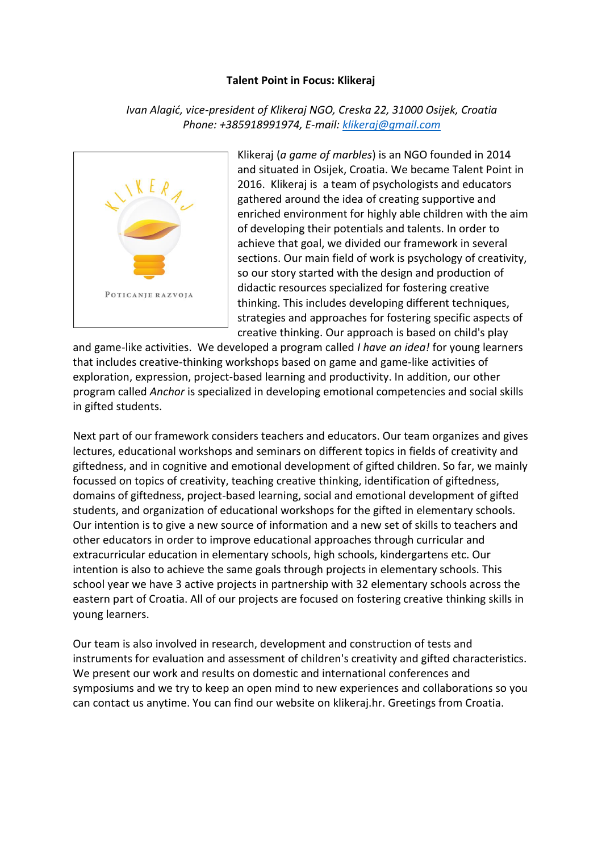## **Talent Point in Focus: Klikeraj**

*Ivan Alagić, vice-president of Klikeraj NGO, Creska 22, 31000 Osijek, Croatia Phone: +385918991974, E-mail: [klikeraj@gmail.com](mailto:klikeraj@gmail.com)*



Klikeraj (*a game of marbles*) is an NGO founded in 2014 and situated in Osijek, Croatia. We became Talent Point in 2016. Klikeraj is a team of psychologists and educators gathered around the idea of creating supportive and enriched environment for highly able children with the aim of developing their potentials and talents. In order to achieve that goal, we divided our framework in several sections. Our main field of work is psychology of creativity, so our story started with the design and production of didactic resources specialized for fostering creative thinking. This includes developing different techniques, strategies and approaches for fostering specific aspects of creative thinking. Our approach is based on child's play

and game-like activities. We developed a program called *I have an idea!* for young learners that includes creative-thinking workshops based on game and game-like activities of exploration, expression, project-based learning and productivity. In addition, our other program called *Anchor* is specialized in developing emotional competencies and social skills in gifted students.

Next part of our framework considers teachers and educators. Our team organizes and gives lectures, educational workshops and seminars on different topics in fields of creativity and giftedness, and in cognitive and emotional development of gifted children. So far, we mainly focussed on topics of creativity, teaching creative thinking, identification of giftedness, domains of giftedness, project-based learning, social and emotional development of gifted students, and organization of educational workshops for the gifted in elementary schools. Our intention is to give a new source of information and a new set of skills to teachers and other educators in order to improve educational approaches through curricular and extracurricular education in elementary schools, high schools, kindergartens etc. Our intention is also to achieve the same goals through projects in elementary schools. This school year we have 3 active projects in partnership with 32 elementary schools across the eastern part of Croatia. All of our projects are focused on fostering creative thinking skills in young learners.

Our team is also involved in research, development and construction of tests and instruments for evaluation and assessment of children's creativity and gifted characteristics. We present our work and results on domestic and international conferences and symposiums and we try to keep an open mind to new experiences and collaborations so you can contact us anytime. You can find our website on klikeraj.hr. Greetings from Croatia.